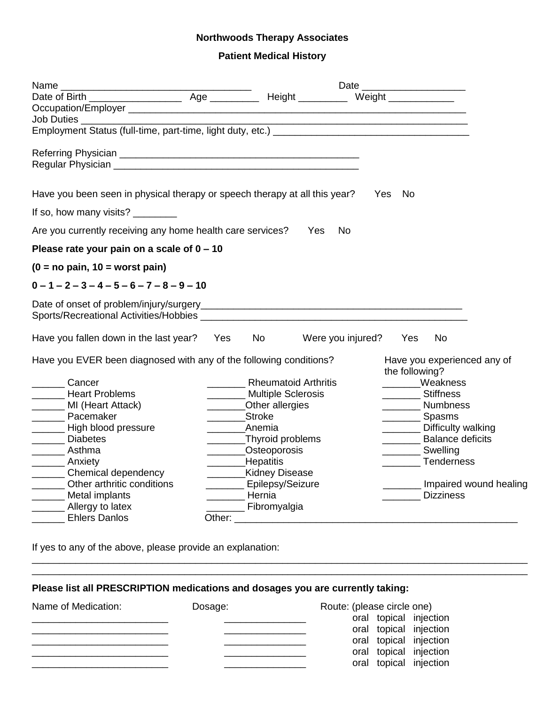## **Northwoods Therapy Associates**

## **Patient Medical History**

| Name                                                                       |        |                                   |                   |  |                |                                     |
|----------------------------------------------------------------------------|--------|-----------------------------------|-------------------|--|----------------|-------------------------------------|
|                                                                            |        |                                   |                   |  |                |                                     |
|                                                                            |        |                                   |                   |  |                |                                     |
| Job Duties __________                                                      |        |                                   |                   |  |                |                                     |
|                                                                            |        |                                   |                   |  |                |                                     |
|                                                                            |        |                                   |                   |  |                |                                     |
| Have you been seen in physical therapy or speech therapy at all this year? |        |                                   |                   |  | No<br>Yes      |                                     |
|                                                                            |        |                                   |                   |  |                |                                     |
| Are you currently receiving any home health care services?                 |        |                                   | Yes<br>No.        |  |                |                                     |
| Please rate your pain on a scale of $0 - 10$                               |        |                                   |                   |  |                |                                     |
| $(0 = no pain, 10 = worst pain)$                                           |        |                                   |                   |  |                |                                     |
| $0 - 1 - 2 - 3 - 4 - 5 - 6 - 7 - 8 - 9 - 10$                               |        |                                   |                   |  |                |                                     |
|                                                                            |        |                                   |                   |  |                |                                     |
| Have you fallen down in the last year?                                     | Yes    | No the set                        | Were you injured? |  | Yes            | <b>No</b>                           |
| Have you EVER been diagnosed with any of the following conditions?         |        |                                   |                   |  | the following? | Have you experienced any of         |
| Cancer                                                                     |        | <b>Rheumatoid Arthritis</b>       |                   |  |                | ______Weakness                      |
| <b>Heart Problems</b>                                                      |        | Multiple Sclerosis                |                   |  |                | <b>Stiffness</b>                    |
| ________ MI (Heart Attack)                                                 |        | _______Other allergies            |                   |  |                | ________ Numbness                   |
| <b>Nacemaker</b>                                                           |        | Stroke                            |                   |  |                | Spasms                              |
| _______ High blood pressure                                                |        | Anemia                            |                   |  |                | Difficulty walking                  |
| Diabetes<br>_______ Asthma                                                 |        | _Thyroid problems<br>Osteoporosis |                   |  |                | <b>Balance deficits</b><br>Swelling |
| _________ Anxiety                                                          |        | _________Hepatitis                |                   |  |                | <b>Tenderness</b>                   |
| ________ Chemical dependency                                               |        | _________Kidney Disease           |                   |  |                |                                     |
| Other arthritic conditions<br>$\overline{\phantom{a}}$                     |        | ________ Epilepsy/Seizure         |                   |  |                | Impaired wound healing              |
| _______ Metal implants                                                     |        | Hernia                            |                   |  |                | <b>Dizziness</b>                    |
| ________ Allergy to latex                                                  |        | <b>Example 1</b> Fibromyalgia     |                   |  |                |                                     |
| <b>Ehlers Danlos</b>                                                       | Other: |                                   |                   |  |                |                                     |

If yes to any of the above, please provide an explanation:

\_\_\_\_\_\_\_\_\_\_\_\_\_\_\_\_\_\_\_\_\_\_\_\_\_\_\_\_\_\_\_\_\_\_\_\_\_\_\_\_\_\_\_\_\_\_\_\_\_\_\_\_\_\_\_\_\_\_\_\_\_\_\_\_\_\_\_\_\_\_\_\_\_\_\_\_\_\_\_\_\_\_\_\_\_\_\_\_\_\_\_

## **Please list all PRESCRIPTION medications and dosages you are currently taking:**

| Name of Medication: | Dosage: | Route: (please circle one) |  |  |
|---------------------|---------|----------------------------|--|--|
|                     |         | oral topical injection     |  |  |
|                     |         | oral topical injection     |  |  |
|                     |         | oral topical injection     |  |  |
|                     |         | oral topical injection     |  |  |
|                     |         | oral topical injection     |  |  |